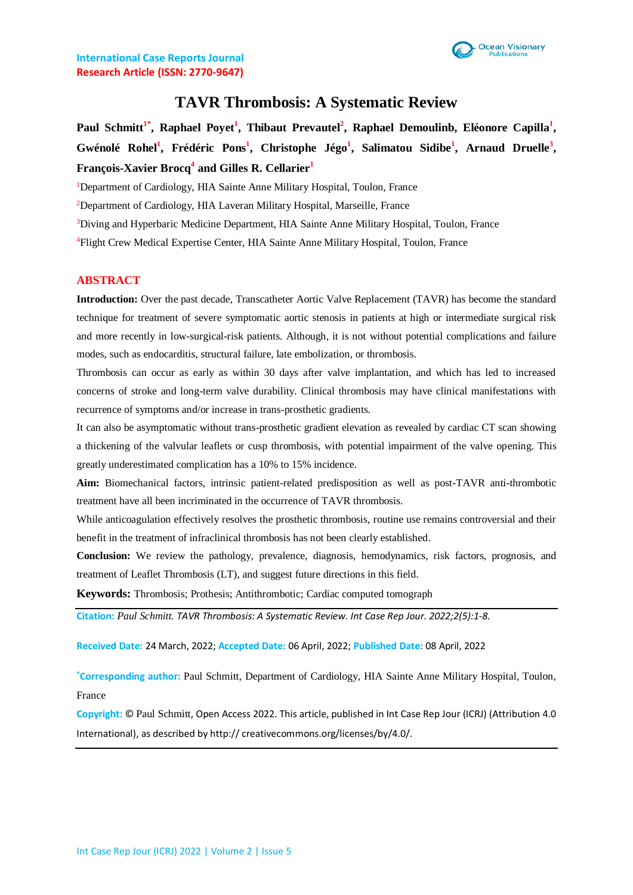

# **TAVR Thrombosis: A Systematic Review**

Paul Schmitt<sup>1\*</sup>, Raphael Poyet<sup>1</sup>, Thibaut Prevautel<sup>2</sup>, Raphael Demoulinb, Eléonore Capilla<sup>1</sup>, **Gwénolé Rohel<sup>1</sup> , Frédéric Pons<sup>1</sup> , Christophe Jégo<sup>1</sup> , Salimatou Sidibe<sup>1</sup> , Arnaud Druelle<sup>3</sup> , François-Xavier Brocq<sup>4</sup> and Gilles R. Cellarier<sup>1</sup>**

<sup>1</sup>Department of Cardiology, HIA Sainte Anne Military Hospital, Toulon, France

<sup>2</sup>Department of Cardiology, HIA Laveran Military Hospital, Marseille, France

<sup>3</sup>Diving and Hyperbaric Medicine Department, HIA Sainte Anne Military Hospital, Toulon, France

<sup>4</sup>Flight Crew Medical Expertise Center, HIA Sainte Anne Military Hospital, Toulon, France

### **ABSTRACT**

**Introduction:** Over the past decade, Transcatheter Aortic Valve Replacement (TAVR) has become the standard technique for treatment of severe symptomatic aortic stenosis in patients at high or intermediate surgical risk and more recently in low-surgical-risk patients. Although, it is not without potential complications and failure modes, such as endocarditis, structural failure, late embolization, or thrombosis.

Thrombosis can occur as early as within 30 days after valve implantation, and which has led to increased concerns of stroke and long-term valve durability. Clinical thrombosis may have clinical manifestations with recurrence of symptoms and/or increase in trans-prosthetic gradients.

It can also be asymptomatic without trans-prosthetic gradient elevation as revealed by cardiac CT scan showing a thickening of the valvular leaflets or cusp thrombosis, with potential impairment of the valve opening. This greatly underestimated complication has a 10% to 15% incidence.

**Aim:** Biomechanical factors, intrinsic patient-related predisposition as well as post-TAVR anti-thrombotic treatment have all been incriminated in the occurrence of TAVR thrombosis.

While anticoagulation effectively resolves the prosthetic thrombosis, routine use remains controversial and their benefit in the treatment of infraclinical thrombosis has not been clearly established.

**Conclusion:** We review the pathology, prevalence, diagnosis, hemodynamics, risk factors, prognosis, and treatment of Leaflet Thrombosis (LT), and suggest future directions in this field.

**Keywords:** Thrombosis; Prothesis; Antithrombotic; Cardiac computed tomograph

**Citation:** *Paul Schmitt. TAVR Thrombosis: A Systematic Review. Int Case Rep Jour. 2022;2(5):1-8.*

**Received Date:** 24 March, 2022; **Accepted Date:** 06 April, 2022; **Published Date:** 08 April, 2022

**\*Corresponding author:** Paul Schmitt, Department of Cardiology, HIA Sainte Anne Military Hospital, Toulon, France

**Copyright:** © Paul Schmitt, Open Access 2022. This article, published in Int Case Rep Jour (ICRJ) (Attribution 4.0 International), as described by http:// creativecommons.org/licenses/by/4.0/.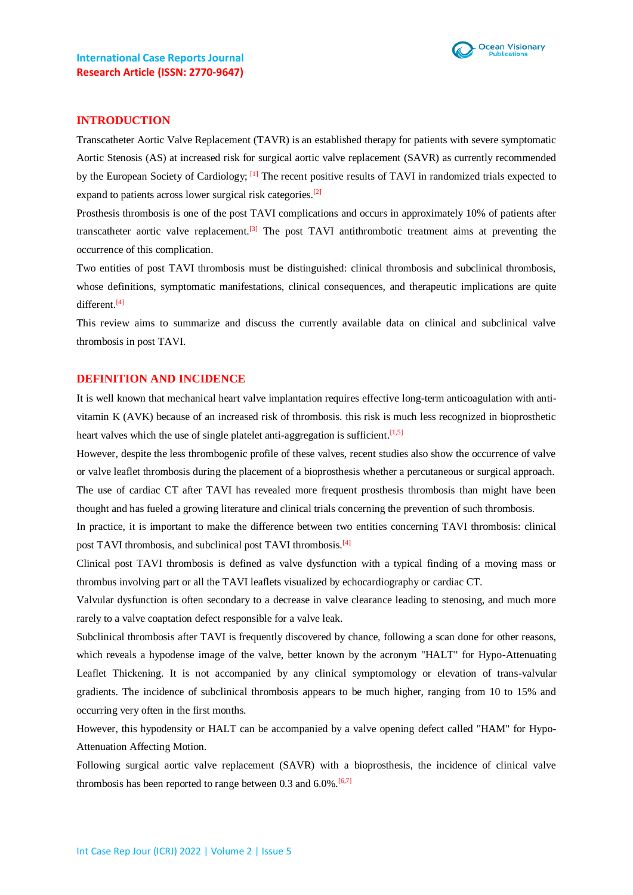

#### **INTRODUCTION**

Transcatheter Aortic Valve Replacement (TAVR) is an established therapy for patients with severe symptomatic Aortic Stenosis (AS) at increased risk for surgical aortic valve replacement (SAVR) as currently recommended by the European Society of Cardiology; <sup>[1]</sup> The recent positive results of TAVI in randomized trials expected to expand to patients across lower surgical risk categories.<sup>[2]</sup>

Prosthesis thrombosis is one of the post TAVI complications and occurs in approximately 10% of patients after transcatheter aortic valve replacement.<sup>[3]</sup> The post TAVI antithrombotic treatment aims at preventing the occurrence of this complication.

Two entities of post TAVI thrombosis must be distinguished: clinical thrombosis and subclinical thrombosis, whose definitions, symptomatic manifestations, clinical consequences, and therapeutic implications are quite different.[4]

This review aims to summarize and discuss the currently available data on clinical and subclinical valve thrombosis in post TAVI.

# **DEFINITION AND INCIDENCE**

It is well known that mechanical heart valve implantation requires effective long-term anticoagulation with antivitamin K (AVK) because of an increased risk of thrombosis. this risk is much less recognized in bioprosthetic heart valves which the use of single platelet anti-aggregation is sufficient.<sup>[1,5]</sup>

However, despite the less thrombogenic profile of these valves, recent studies also show the occurrence of valve or valve leaflet thrombosis during the placement of a bioprosthesis whether a percutaneous or surgical approach. The use of cardiac CT after TAVI has revealed more frequent prosthesis thrombosis than might have been thought and has fueled a growing literature and clinical trials concerning the prevention of such thrombosis.

In practice, it is important to make the difference between two entities concerning TAVI thrombosis: clinical post TAVI thrombosis, and subclinical post TAVI thrombosis.<sup>[4]</sup>

Clinical post TAVI thrombosis is defined as valve dysfunction with a typical finding of a moving mass or thrombus involving part or all the TAVI leaflets visualized by echocardiography or cardiac CT.

Valvular dysfunction is often secondary to a decrease in valve clearance leading to stenosing, and much more rarely to a valve coaptation defect responsible for a valve leak.

Subclinical thrombosis after TAVI is frequently discovered by chance, following a scan done for other reasons, which reveals a hypodense image of the valve, better known by the acronym "HALT" for Hypo-Attenuating Leaflet Thickening. It is not accompanied by any clinical symptomology or elevation of trans-valvular gradients. The incidence of subclinical thrombosis appears to be much higher, ranging from 10 to 15% and occurring very often in the first months.

However, this hypodensity or HALT can be accompanied by a valve opening defect called "HAM" for Hypo-Attenuation Affecting Motion.

Following surgical aortic valve replacement (SAVR) with a bioprosthesis, the incidence of clinical valve thrombosis has been reported to range between 0.3 and  $6.0\%$ .<sup>[6,7]</sup>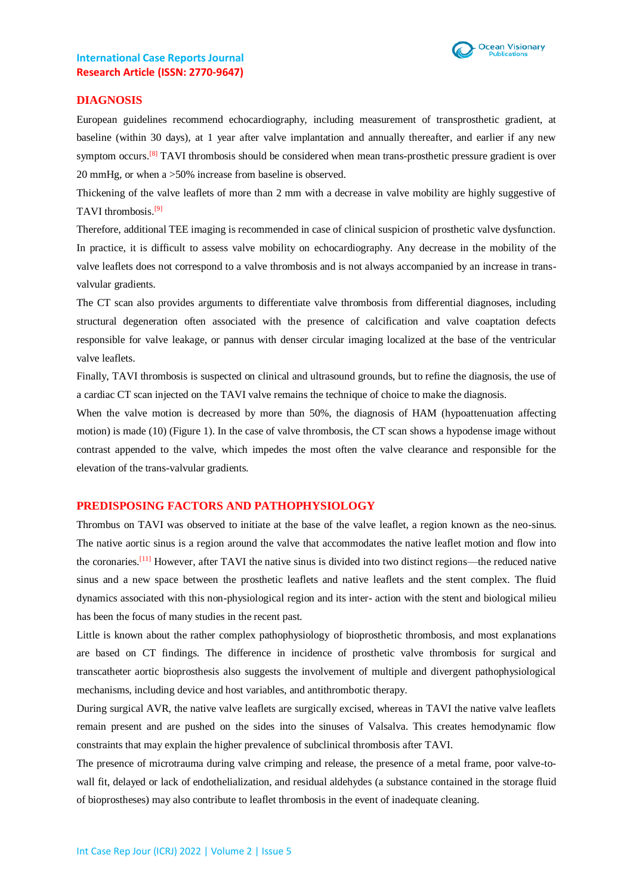

#### **DIAGNOSIS**

European guidelines recommend echocardiography, including measurement of transprosthetic gradient, at baseline (within 30 days), at 1 year after valve implantation and annually thereafter, and earlier if any new symptom occurs.<sup>[8]</sup> TAVI thrombosis should be considered when mean trans-prosthetic pressure gradient is over 20 mmHg, or when a >50% increase from baseline is observed.

Thickening of the valve leaflets of more than 2 mm with a decrease in valve mobility are highly suggestive of TAVI thrombosis. [9]

Therefore, additional TEE imaging is recommended in case of clinical suspicion of prosthetic valve dysfunction. In practice, it is difficult to assess valve mobility on echocardiography. Any decrease in the mobility of the valve leaflets does not correspond to a valve thrombosis and is not always accompanied by an increase in transvalvular gradients.

The CT scan also provides arguments to differentiate valve thrombosis from differential diagnoses, including structural degeneration often associated with the presence of calcification and valve coaptation defects responsible for valve leakage, or pannus with denser circular imaging localized at the base of the ventricular valve leaflets.

Finally, TAVI thrombosis is suspected on clinical and ultrasound grounds, but to refine the diagnosis, the use of a cardiac CT scan injected on the TAVI valve remains the technique of choice to make the diagnosis.

When the valve motion is decreased by more than 50%, the diagnosis of HAM (hypoattenuation affecting motion) is made (10) (Figure 1). In the case of valve thrombosis, the CT scan shows a hypodense image without contrast appended to the valve, which impedes the most often the valve clearance and responsible for the elevation of the trans-valvular gradients.

#### **PREDISPOSING FACTORS AND PATHOPHYSIOLOGY**

Thrombus on TAVI was observed to initiate at the base of the valve leaflet, a region known as the neo-sinus. The native aortic sinus is a region around the valve that accommodates the native leaflet motion and flow into the coronaries.[11] However, after TAVI the native sinus is divided into two distinct regions—the reduced native sinus and a new space between the prosthetic leaflets and native leaflets and the stent complex. The fluid dynamics associated with this non-physiological region and its inter- action with the stent and biological milieu has been the focus of many studies in the recent past.

Little is known about the rather complex pathophysiology of bioprosthetic thrombosis, and most explanations are based on CT findings. The difference in incidence of prosthetic valve thrombosis for surgical and transcatheter aortic bioprosthesis also suggests the involvement of multiple and divergent pathophysiological mechanisms, including device and host variables, and antithrombotic therapy.

During surgical AVR, the native valve leaflets are surgically excised, whereas in TAVI the native valve leaflets remain present and are pushed on the sides into the sinuses of Valsalva. This creates hemodynamic flow constraints that may explain the higher prevalence of subclinical thrombosis after TAVI.

The presence of microtrauma during valve crimping and release, the presence of a metal frame, poor valve-towall fit, delayed or lack of endothelialization, and residual aldehydes (a substance contained in the storage fluid of bioprostheses) may also contribute to leaflet thrombosis in the event of inadequate cleaning.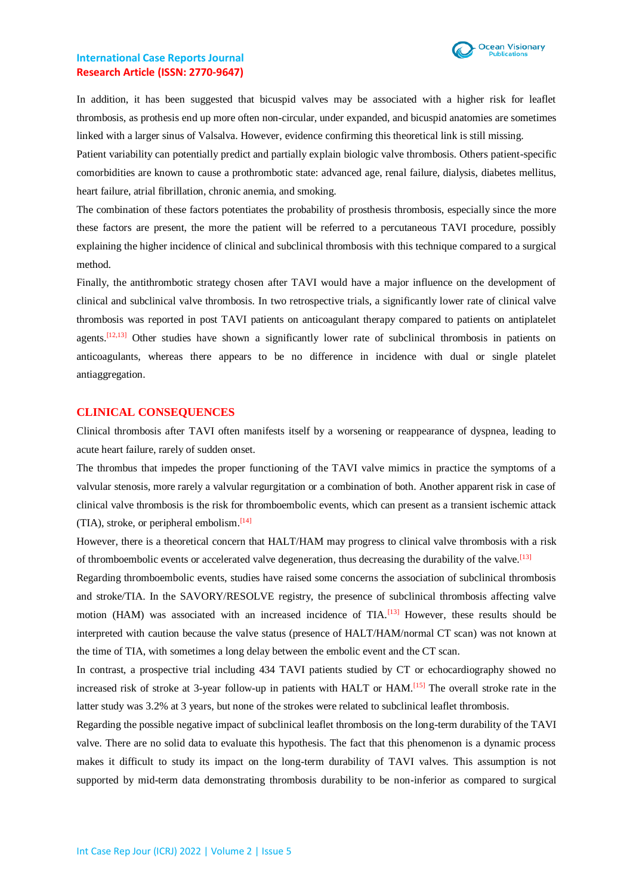

In addition, it has been suggested that bicuspid valves may be associated with a higher risk for leaflet thrombosis, as prothesis end up more often non-circular, under expanded, and bicuspid anatomies are sometimes linked with a larger sinus of Valsalva. However, evidence confirming this theoretical link is still missing.

Patient variability can potentially predict and partially explain biologic valve thrombosis. Others patient-specific comorbidities are known to cause a prothrombotic state: advanced age, renal failure, dialysis, diabetes mellitus, heart failure, atrial fibrillation, chronic anemia, and smoking.

The combination of these factors potentiates the probability of prosthesis thrombosis, especially since the more these factors are present, the more the patient will be referred to a percutaneous TAVI procedure, possibly explaining the higher incidence of clinical and subclinical thrombosis with this technique compared to a surgical method.

Finally, the antithrombotic strategy chosen after TAVI would have a major influence on the development of clinical and subclinical valve thrombosis. In two retrospective trials, a significantly lower rate of clinical valve thrombosis was reported in post TAVI patients on anticoagulant therapy compared to patients on antiplatelet agents.<sup>[12,13]</sup> Other studies have shown a significantly lower rate of subclinical thrombosis in patients on anticoagulants, whereas there appears to be no difference in incidence with dual or single platelet antiaggregation.

#### **CLINICAL CONSEQUENCES**

Clinical thrombosis after TAVI often manifests itself by a worsening or reappearance of dyspnea, leading to acute heart failure, rarely of sudden onset.

The thrombus that impedes the proper functioning of the TAVI valve mimics in practice the symptoms of a valvular stenosis, more rarely a valvular regurgitation or a combination of both. Another apparent risk in case of clinical valve thrombosis is the risk for thromboembolic events, which can present as a transient ischemic attack (TIA), stroke, or peripheral embolism. [14]

However, there is a theoretical concern that HALT/HAM may progress to clinical valve thrombosis with a risk of thromboembolic events or accelerated valve degeneration, thus decreasing the durability of the valve.<sup>[13]</sup>

Regarding thromboembolic events, studies have raised some concerns the association of subclinical thrombosis and stroke/TIA. In the SAVORY/RESOLVE registry, the presence of subclinical thrombosis affecting valve motion (HAM) was associated with an increased incidence of  $TIA$ .<sup>[13]</sup> However, these results should be interpreted with caution because the valve status (presence of HALT/HAM/normal CT scan) was not known at the time of TIA, with sometimes a long delay between the embolic event and the CT scan.

In contrast, a prospective trial including 434 TAVI patients studied by CT or echocardiography showed no increased risk of stroke at 3-year follow-up in patients with HALT or HAM.[15] The overall stroke rate in the latter study was 3.2% at 3 years, but none of the strokes were related to subclinical leaflet thrombosis.

Regarding the possible negative impact of subclinical leaflet thrombosis on the long-term durability of the TAVI valve. There are no solid data to evaluate this hypothesis. The fact that this phenomenon is a dynamic process makes it difficult to study its impact on the long-term durability of TAVI valves. This assumption is not supported by mid-term data demonstrating thrombosis durability to be non-inferior as compared to surgical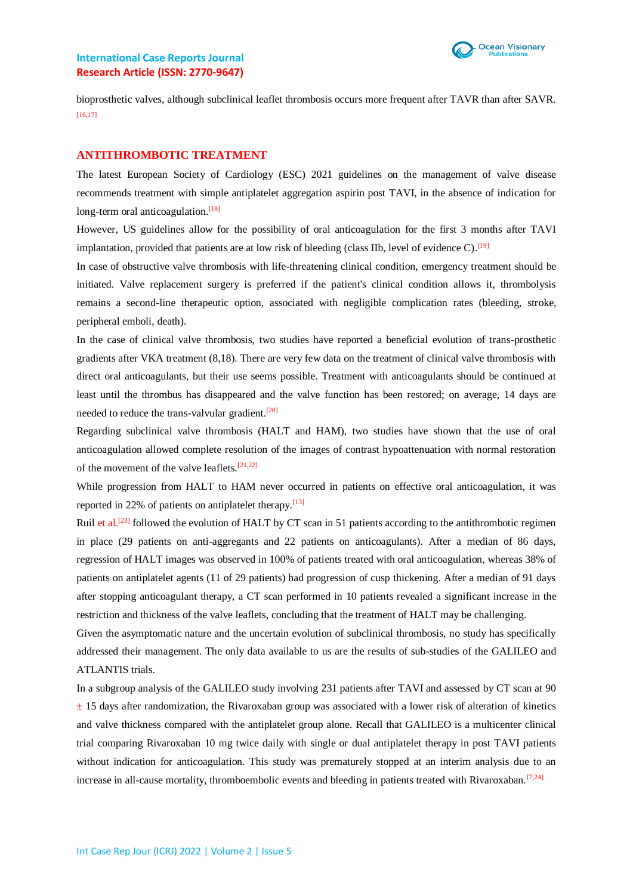

bioprosthetic valves, although subclinical leaflet thrombosis occurs more frequent after TAVR than after SAVR.  $[16,17]$ 

#### **ANTITHROMBOTIC TREATMENT**

The latest European Society of Cardiology (ESC) 2021 guidelines on the management of valve disease recommends treatment with simple antiplatelet aggregation aspirin post TAVI, in the absence of indication for long-term oral anticoagulation.<sup>[18]</sup>

However, US guidelines allow for the possibility of oral anticoagulation for the first 3 months after TAVI implantation, provided that patients are at low risk of bleeding (class IIb, level of evidence  $C$ ).<sup>[19]</sup>

In case of obstructive valve thrombosis with life-threatening clinical condition, emergency treatment should be initiated. Valve replacement surgery is preferred if the patient's clinical condition allows it, thrombolysis remains a second-line therapeutic option, associated with negligible complication rates (bleeding, stroke, peripheral emboli, death).

In the case of clinical valve thrombosis, two studies have reported a beneficial evolution of trans-prosthetic gradients after VKA treatment (8,18). There are very few data on the treatment of clinical valve thrombosis with direct oral anticoagulants, but their use seems possible. Treatment with anticoagulants should be continued at least until the thrombus has disappeared and the valve function has been restored; on average, 14 days are needed to reduce the trans-valvular gradient.<sup>[20]</sup>

Regarding subclinical valve thrombosis (HALT and HAM), two studies have shown that the use of oral anticoagulation allowed complete resolution of the images of contrast hypoattenuation with normal restoration of the movement of the valve leaflets. $[21,22]$ 

While progression from HALT to HAM never occurred in patients on effective oral anticoagulation, it was reported in 22% of patients on antiplatelet therapy.<sup>[13]</sup>

Ruil et al.<sup>[23]</sup> followed the evolution of HALT by CT scan in 51 patients according to the antithrombotic regimen in place (29 patients on anti-aggregants and 22 patients on anticoagulants). After a median of 86 days, regression of HALT images was observed in 100% of patients treated with oral anticoagulation, whereas 38% of patients on antiplatelet agents (11 of 29 patients) had progression of cusp thickening. After a median of 91 days after stopping anticoagulant therapy, a CT scan performed in 10 patients revealed a significant increase in the restriction and thickness of the valve leaflets, concluding that the treatment of HALT may be challenging.

Given the asymptomatic nature and the uncertain evolution of subclinical thrombosis, no study has specifically addressed their management. The only data available to us are the results of sub-studies of the GALILEO and ATLANTIS trials.

In a subgroup analysis of the GALILEO study involving 231 patients after TAVI and assessed by CT scan at 90  $\pm$  15 days after randomization, the Rivaroxaban group was associated with a lower risk of alteration of kinetics and valve thickness compared with the antiplatelet group alone. Recall that GALILEO is a multicenter clinical trial comparing Rivaroxaban 10 mg twice daily with single or dual antiplatelet therapy in post TAVI patients without indication for anticoagulation. This study was prematurely stopped at an interim analysis due to an increase in all-cause mortality, thromboembolic events and bleeding in patients treated with Rivaroxaban.<sup>[7,24]</sup>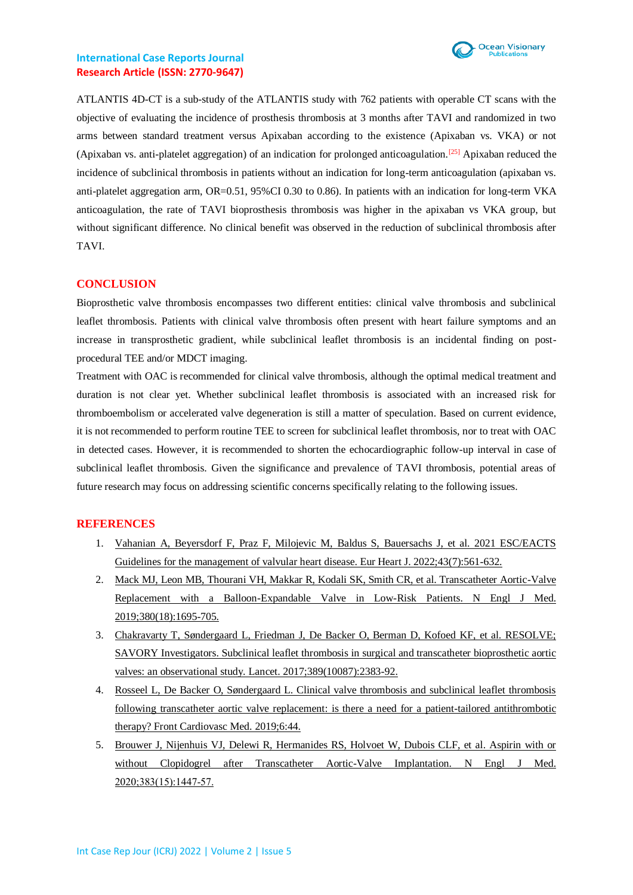

ATLANTIS 4D-CT is a sub-study of the ATLANTIS study with 762 patients with operable CT scans with the objective of evaluating the incidence of prosthesis thrombosis at 3 months after TAVI and randomized in two arms between standard treatment versus Apixaban according to the existence (Apixaban vs. VKA) or not (Apixaban vs. anti-platelet aggregation) of an indication for prolonged anticoagulation.[25] Apixaban reduced the incidence of subclinical thrombosis in patients without an indication for long-term anticoagulation (apixaban vs. anti-platelet aggregation arm, OR=0.51, 95%CI 0.30 to 0.86). In patients with an indication for long-term VKA anticoagulation, the rate of TAVI bioprosthesis thrombosis was higher in the apixaban vs VKA group, but without significant difference. No clinical benefit was observed in the reduction of subclinical thrombosis after TAVI.

# **CONCLUSION**

Bioprosthetic valve thrombosis encompasses two different entities: clinical valve thrombosis and subclinical leaflet thrombosis. Patients with clinical valve thrombosis often present with heart failure symptoms and an increase in transprosthetic gradient, while subclinical leaflet thrombosis is an incidental finding on postprocedural TEE and/or MDCT imaging.

Treatment with OAC is recommended for clinical valve thrombosis, although the optimal medical treatment and duration is not clear yet. Whether subclinical leaflet thrombosis is associated with an increased risk for thromboembolism or accelerated valve degeneration is still a matter of speculation. Based on current evidence, it is not recommended to perform routine TEE to screen for subclinical leaflet thrombosis, nor to treat with OAC in detected cases. However, it is recommended to shorten the echocardiographic follow-up interval in case of subclinical leaflet thrombosis. Given the significance and prevalence of TAVI thrombosis, potential areas of future research may focus on addressing scientific concerns specifically relating to the following issues.

#### **REFERENCES**

- 1. [Vahanian A, Beyersdorf F, Praz F, Milojevic M, Baldus S, Bauersachs J, et al. 2021 ESC/EACTS](https://pubmed.ncbi.nlm.nih.gov/34453165/)  [Guidelines for the management of valvular heart disease. Eur Heart J. 2022;43\(7\):561-632.](https://pubmed.ncbi.nlm.nih.gov/34453165/)
- 2. [Mack MJ, Leon MB, Thourani VH, Makkar R, Kodali SK, Smith CR, et al. Transcatheter Aortic-Valve](https://pubmed.ncbi.nlm.nih.gov/30883058/)  [Replacement with a Balloon-Expandable Valve in Low-Risk Patients. N Engl J Med.](https://pubmed.ncbi.nlm.nih.gov/30883058/)  [2019;380\(18\):1695-705.](https://pubmed.ncbi.nlm.nih.gov/30883058/)
- 3. [Chakravarty T, Søndergaard L, Friedman J, De Backer O, Berman D, Kofoed KF, et al. RESOLVE;](https://pubmed.ncbi.nlm.nih.gov/28330690/)  [SAVORY Investigators. Subclinical leaflet thrombosis in surgical and transcatheter bioprosthetic aortic](https://pubmed.ncbi.nlm.nih.gov/28330690/)  [valves: an observational study. Lancet. 2017;389\(10087\):2383-92.](https://pubmed.ncbi.nlm.nih.gov/28330690/)
- 4. [Rosseel L, De Backer O, Søndergaard L. Clinical valve thrombosis and subclinical leaflet thrombosis](https://pubmed.ncbi.nlm.nih.gov/31058168/)  [following transcatheter aortic valve replacement: is there a need for a patient-tailored antithrombotic](https://pubmed.ncbi.nlm.nih.gov/31058168/)  [therapy? Front Cardiovasc Med. 2019;6:44.](https://pubmed.ncbi.nlm.nih.gov/31058168/)
- 5. [Brouwer J, Nijenhuis VJ, Delewi R, Hermanides RS, Holvoet W, Dubois CLF, et al. Aspirin with or](https://www.nejm.org/doi/full/10.1056/NEJMoa2017815)  [without Clopidogrel after Transcatheter Aortic-Valve Implantation. N Engl J Med.](https://www.nejm.org/doi/full/10.1056/NEJMoa2017815)  [2020;383\(15\):1447‑57.](https://www.nejm.org/doi/full/10.1056/NEJMoa2017815)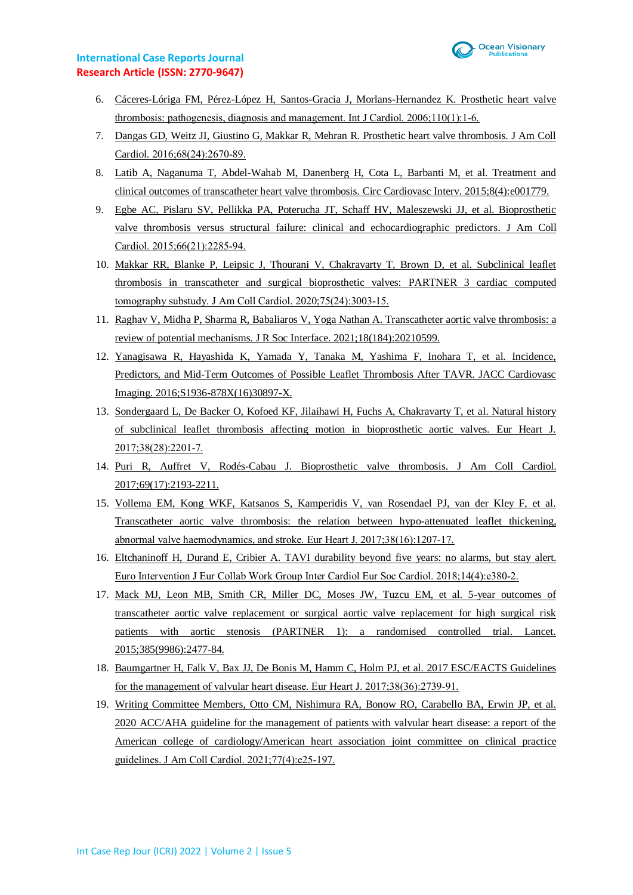

- 6. [Cáceres-Lóriga FM, Pérez-López H, Santos-Gracia J, Morlans-Hernandez K. Prosthetic heart valve](https://pubmed.ncbi.nlm.nih.gov/16038994/)  [thrombosis: pathogenesis, diagnosis and management. Int J Cardiol. 2006;110\(1\):1‑6.](https://pubmed.ncbi.nlm.nih.gov/16038994/)
- 7. [Dangas GD, Weitz JI, Giustino G, Makkar R, Mehran R. Prosthetic heart valve thrombosis. J Am Coll](https://pubmed.ncbi.nlm.nih.gov/27978952/)  [Cardiol. 2016;68\(24\):2670‑89.](https://pubmed.ncbi.nlm.nih.gov/27978952/)
- 8. [Latib A, Naganuma T, Abdel-Wahab M, Danenberg H, Cota L, Barbanti M, et al. Treatment and](https://pubmed.ncbi.nlm.nih.gov/25873727/)  [clinical outcomes of transcatheter heart valve thrombosis. Circ Cardiovasc Interv. 2015;8\(4\):e001779.](https://pubmed.ncbi.nlm.nih.gov/25873727/)
- 9. [Egbe AC, Pislaru SV, Pellikka PA, Poterucha JT, Schaff HV, Maleszewski JJ, et al. Bioprosthetic](https://pubmed.ncbi.nlm.nih.gov/26610876/)  [valve thrombosis versus structural failure: clinical and echocardiographic predictors. J Am Coll](https://pubmed.ncbi.nlm.nih.gov/26610876/)  [Cardiol. 2015;66\(21\):2285‑94.](https://pubmed.ncbi.nlm.nih.gov/26610876/)
- 10. [Makkar RR, Blanke P, Leipsic J, Thourani V, Chakravarty T, Brown D, et al. Subclinical leaflet](https://pubmed.ncbi.nlm.nih.gov/32553252/)  [thrombosis in transcatheter and surgical bioprosthetic valves: PARTNER 3 cardiac computed](https://pubmed.ncbi.nlm.nih.gov/32553252/)  [tomography substudy. J Am Coll Cardiol. 2020;75\(24\):3003‑15.](https://pubmed.ncbi.nlm.nih.gov/32553252/)
- 11. [Raghav V, Midha P, Sharma R, Babaliaros V, Yoga Nathan A. Transcatheter aortic valve thrombosis: a](https://royalsocietypublishing.org/doi/full/10.1098/rsif.2021.0599)  [review of potential mechanisms. J R Soc Interface. 2021;18\(184\):20210599.](https://royalsocietypublishing.org/doi/full/10.1098/rsif.2021.0599)
- 12. [Yanagisawa R, Hayashida K, Yamada Y, Tanaka M, Yashima F, Inohara T, et al. Incidence,](https://pubmed.ncbi.nlm.nih.gov/28017712/)  [Predictors, and Mid-Term Outcomes of Possible Leaflet Thrombosis After TAVR. JACC Cardiovasc](https://pubmed.ncbi.nlm.nih.gov/28017712/)  [Imaging. 2016;S1936-878X\(16\)30897-X.](https://pubmed.ncbi.nlm.nih.gov/28017712/)
- 13. [Sondergaard L, De Backer O, Kofoed KF, Jilaihawi H, Fuchs A, Chakravarty T, et al. Natural history](https://pubmed.ncbi.nlm.nih.gov/28838044/)  [of subclinical leaflet thrombosis affecting motion in bioprosthetic aortic valves. Eur Heart J.](https://pubmed.ncbi.nlm.nih.gov/28838044/)  [2017;38\(28\):2201‑7.](https://pubmed.ncbi.nlm.nih.gov/28838044/)
- 14. [Puri R, Auffret V, Rodés-Cabau J. Bioprosthetic valve thrombosis. J Am Coll Cardiol.](https://pubmed.ncbi.nlm.nih.gov/28449781/)  [2017;69\(17\):2193-2211.](https://pubmed.ncbi.nlm.nih.gov/28449781/)
- 15. [Vollema EM, Kong WKF, Katsanos S, Kamperidis V, van Rosendael PJ, van der Kley F, et al.](https://pubmed.ncbi.nlm.nih.gov/28369242/)  [Transcatheter aortic valve thrombosis: the relation between hypo-attenuated leaflet thickening,](https://pubmed.ncbi.nlm.nih.gov/28369242/)  [abnormal valve haemodynamics, and stroke. Eur Heart J. 2017;38\(16\):1207‑17.](https://pubmed.ncbi.nlm.nih.gov/28369242/)
- 16. [Eltchaninoff H, Durand E, Cribier A. TAVI durability beyond five years: no alarms, but stay alert.](https://europepmc.org/article/med/30028301)  Euro Intervention J Eur Collab Work Group Inter Cardiol Eur Soc Cardiol. 2018;14(4):e380-2.
- 17. [Mack MJ, Leon MB, Smith CR, Miller DC, Moses JW, Tuzcu EM, et al. 5-year outcomes of](https://pubmed.ncbi.nlm.nih.gov/25788234/)  [transcatheter aortic valve replacement or surgical aortic valve replacement for high surgical risk](https://pubmed.ncbi.nlm.nih.gov/25788234/)  [patients with aortic stenosis \(PARTNER 1\): a randomised controlled trial. Lancet.](https://pubmed.ncbi.nlm.nih.gov/25788234/)  [2015;385\(9986\):2477-84.](https://pubmed.ncbi.nlm.nih.gov/25788234/)
- 18. [Baumgartner H, Falk V, Bax JJ, De Bonis M, Hamm C, Holm PJ, et al. 2017 ESC/EACTS Guidelines](https://pubmed.ncbi.nlm.nih.gov/28886619/)  for the management of valvular heart disease. Eur Heart J. 2017;38(36):2739-91.
- 19. [Writing Committee Members, Otto CM, Nishimura RA, Bonow RO, Carabello BA, Erwin JP, et al.](https://pubmed.ncbi.nlm.nih.gov/33342586/)  [2020 ACC/AHA guideline for the management of patients with valvular heart disease: a report of the](https://pubmed.ncbi.nlm.nih.gov/33342586/)  [American college of cardiology/American heart association joint committee on clinical practice](https://pubmed.ncbi.nlm.nih.gov/33342586/)  [guidelines. J Am Coll Cardiol. 2021;77\(4\):e25‑197.](https://pubmed.ncbi.nlm.nih.gov/33342586/)